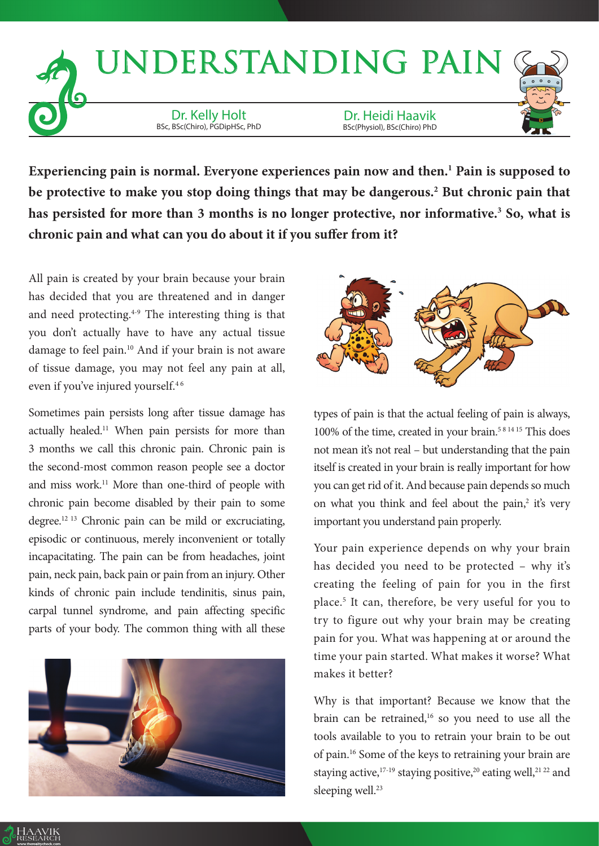

Experiencing pain is normal. Everyone experiences pain now and then.<sup>1</sup> Pain is supposed to **be protective to make you stop doing things that may be dangerous.2 But chronic pain that**  has persisted for more than 3 months is no longer protective, nor informative.<sup>3</sup> So, what is **chronic pain and what can you do about it if you suffer from it?**

All pain is created by your brain because your brain has decided that you are threatened and in danger and need protecting.4-9 The interesting thing is that you don't actually have to have any actual tissue damage to feel pain.<sup>10</sup> And if your brain is not aware of tissue damage, you may not feel any pain at all, even if you've injured yourself.<sup>46</sup>

Sometimes pain persists long after tissue damage has actually healed.<sup>11</sup> When pain persists for more than 3 months we call this chronic pain. Chronic pain is the second-most common reason people see a doctor and miss work.11 More than one-third of people with chronic pain become disabled by their pain to some degree.12 13 Chronic pain can be mild or excruciating, episodic or continuous, merely inconvenient or totally incapacitating. The pain can be from headaches, joint pain, neck pain, back pain or pain from an injury. Other kinds of chronic pain include tendinitis, sinus pain, carpal tunnel syndrome, and pain affecting specific parts of your body. The common thing with all these





types of pain is that the actual feeling of pain is always, 100% of the time, created in your brain.5 8 14 15 This does not mean it's not real – but understanding that the pain itself is created in your brain is really important for how you can get rid of it. And because pain depends so much on what you think and feel about the pain, $2$  it's very important you understand pain properly.

Your pain experience depends on why your brain has decided you need to be protected – why it's creating the feeling of pain for you in the first place.5 It can, therefore, be very useful for you to try to figure out why your brain may be creating pain for you. What was happening at or around the time your pain started. What makes it worse? What makes it better?

Why is that important? Because we know that the brain can be retrained,<sup>16</sup> so you need to use all the tools available to you to retrain your brain to be out of pain.16 Some of the keys to retraining your brain are staying active,<sup>17-19</sup> staying positive,<sup>20</sup> eating well,<sup>21 22</sup> and sleeping well.<sup>23</sup>